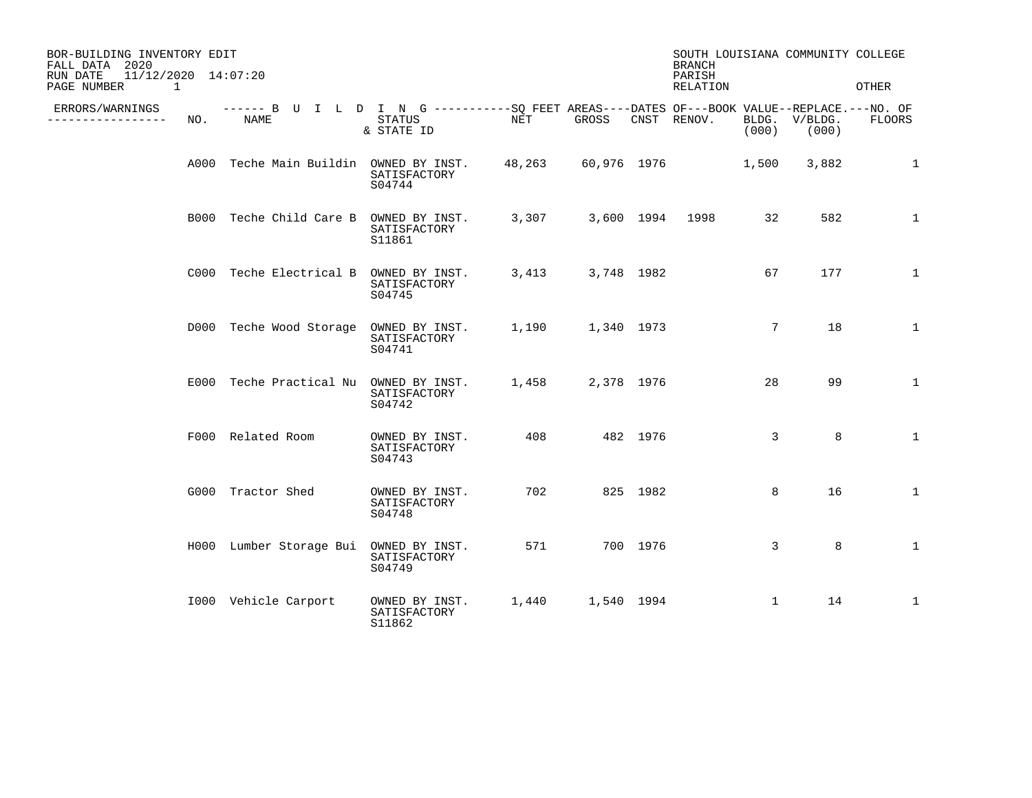| BOR-BUILDING INVENTORY EDIT<br>FALL DATA 2020<br>11/12/2020 14:07:20<br>RUN DATE |     |                                                                                                            |                                          |       | <b>BRANCH</b><br>PARISH |          | SOUTH LOUISIANA COMMUNITY COLLEGE |                 |                        |               |
|----------------------------------------------------------------------------------|-----|------------------------------------------------------------------------------------------------------------|------------------------------------------|-------|-------------------------|----------|-----------------------------------|-----------------|------------------------|---------------|
| PAGE NUMBER<br>$\sim$ 1                                                          |     |                                                                                                            |                                          |       |                         |          | RELATION                          |                 |                        | OTHER         |
| ERRORS/WARNINGS<br>-------------                                                 | NO. | ------ B U I L D I N G -----------SQ FEET AREAS----DATES OF---BOOK VALUE--REPLACE.---NO. OF<br><b>NAME</b> | STATUS<br>& STATE ID                     | NET   | GROSS                   |          | CNST RENOV.                       | (000)           | BLDG. V/BLDG.<br>(000) | <b>FLOORS</b> |
|                                                                                  |     | A000 Teche Main Buildin OWNED BY INST.                                                                     | SATISFACTORY<br>S04744                   |       |                         |          | 48,263 60,976 1976                | 1,500           | 3,882                  | $\mathbf{1}$  |
|                                                                                  |     | B000 Teche Child Care B OWNED BY INST.                                                                     | SATISFACTORY<br>S11861                   | 3,307 |                         |          | 3,600 1994 1998                   | 32              | 582                    | $\mathbf{1}$  |
|                                                                                  |     | C000 Teche Electrical B OWNED BY INST.                                                                     | SATISFACTORY<br>S04745                   |       | 3,413 3,748 1982        |          |                                   | 67              | 177                    | 1             |
|                                                                                  |     | D000 Teche Wood Storage OWNED BY INST.                                                                     | SATISFACTORY<br>S04741                   |       | 1,190 1,340 1973        |          |                                   | $7\phantom{.0}$ | 18                     | $\mathbf{1}$  |
|                                                                                  |     | E000 Teche Practical Nu OWNED BY INST.                                                                     | SATISFACTORY<br>S04742                   | 1,458 | 2,378 1976              |          |                                   | 28              | 99                     | $\mathbf{1}$  |
|                                                                                  |     | F000 Related Room                                                                                          | OWNED BY INST.<br>SATISFACTORY<br>S04743 | 408   |                         | 482 1976 |                                   | 3               | 8                      | $\mathbf{1}$  |
|                                                                                  |     | G000 Tractor Shed                                                                                          | OWNED BY INST.<br>SATISFACTORY<br>S04748 | 702   |                         | 825 1982 |                                   | 8               | 16                     | $\mathbf 1$   |
|                                                                                  |     | H000 Lumber Storage Bui OWNED BY INST.                                                                     | SATISFACTORY<br>S04749                   | 571   |                         | 700 1976 |                                   | 3               | 8                      | $\mathbf{1}$  |
|                                                                                  |     | 1000 Vehicle Carport                                                                                       | OWNED BY INST.<br>SATISFACTORY<br>S11862 |       | 1,440 1,540 1994        |          |                                   | $\mathbf{1}$    | 14                     | $\mathbf{1}$  |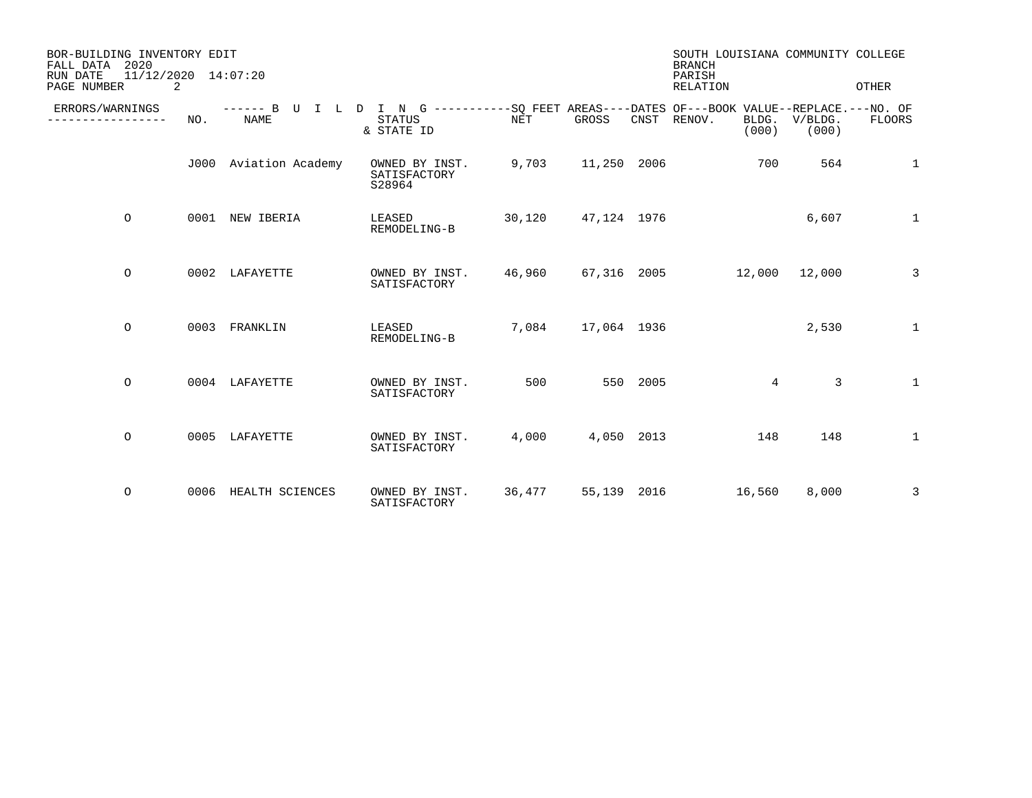| BOR-BUILDING INVENTORY EDIT<br>FALL DATA 2020 | 11/12/2020 14:07:20 |                       |                                                                                                                            |        |             |          | SOUTH LOUISIANA COMMUNITY COLLEGE<br><b>BRANCH</b> |                  |                |
|-----------------------------------------------|---------------------|-----------------------|----------------------------------------------------------------------------------------------------------------------------|--------|-------------|----------|----------------------------------------------------|------------------|----------------|
| RUN DATE<br>PAGE NUMBER                       | 2                   |                       |                                                                                                                            |        |             |          | PARISH<br>RELATION                                 |                  | OTHER          |
| ERRORS/WARNINGS<br>-----------                | NO.                 | <b>NAME</b>           | ------ B U I L D I N G -----------SQ FEET AREAS----DATES OF---BOOK VALUE--REPLACE.---NO. OF<br><b>STATUS</b><br>& STATE ID | NET    | GROSS       | CNST     | RENOV.<br>BLDG.<br>(000)                           | V/BLDG.<br>(000) | FLOORS         |
|                                               |                     | J000 Aviation Academy | OWNED BY INST.<br>SATISFACTORY<br>S28964                                                                                   | 9,703  | 11,250 2006 |          | 700                                                | 564              | $\mathbf{1}$   |
| $\circ$                                       |                     | 0001 NEW IBERIA       | LEASED<br>REMODELING-B                                                                                                     | 30,120 | 47,124 1976 |          |                                                    | 6,607            | $\mathbf{1}$   |
| $\circ$                                       |                     | 0002 LAFAYETTE        | OWNED BY INST.<br>SATISFACTORY                                                                                             | 46,960 |             |          | 67,316 2005 12,000                                 | 12,000           | $\overline{3}$ |
| $\circ$                                       |                     | 0003 FRANKLIN         | LEASED<br>REMODELING-B                                                                                                     | 7,084  | 17,064 1936 |          |                                                    | 2,530            | $\mathbf{1}$   |
| $\circ$                                       |                     | 0004 LAFAYETTE        | OWNED BY INST.<br>SATISFACTORY                                                                                             | 500    |             | 550 2005 | $4\overline{ }$                                    | 3                | $\mathbf{1}$   |
| $\circ$                                       |                     | 0005 LAFAYETTE        | OWNED BY INST.<br>SATISFACTORY                                                                                             | 4,000  | 4,050 2013  |          | 148                                                | 148              | $\mathbf{1}$   |
| $\circ$                                       | 0006                | HEALTH SCIENCES       | OWNED BY INST.<br>SATISFACTORY                                                                                             | 36,477 | 55,139 2016 |          | 16,560                                             | 8,000            | 3              |